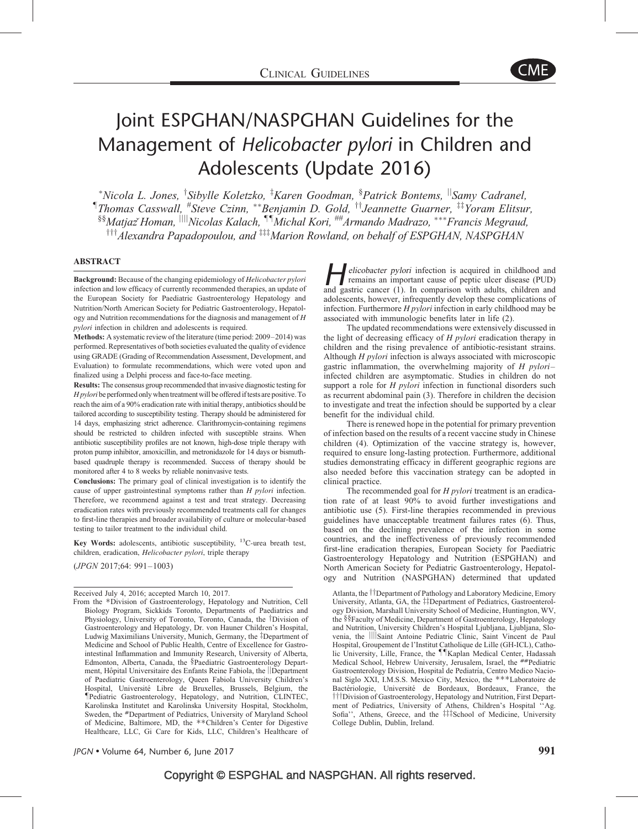

# Joint ESPGHAN/NASPGHAN Guidelines for the Management of Helicobacter pylori in Children and Adolescents (Update 2016)

\*Nicola L. Jones, <sup>†</sup>Sibylle Koletzko, <sup>‡</sup>Karen Goodman, <sup>§</sup>Patrick Bontems, <sup>||</sup>Samy Cadranel,  $\P$ Thomas Casswall,  $^*$ Steve Czinn,  $^{**}$ Benjamin D. Gold,  $^{\dagger\dagger}$ Jeannette Guarner,  $^{\ddagger\dagger}$ Yoram Elitsur, §§Matjazॅ Homan, <sup>||||</sup>Nicolas Kalach, <sup>¶¶</sup>Michal Kori, <sup>##</sup>Armando Madrazo, \*\*\*Francis Megraud,  $\mu$ <sup>†††</sup>Alexandra Papadopoulou, and <sup>‡‡‡</sup>Marion Rowland, on behalf of ESPGHAN, NASPGHAN

### ABSTRACT

Background: Because of the changing epidemiology of Helicobacter pylori infection and low efficacy of currently recommended therapies, an update of the European Society for Paediatric Gastroenterology Hepatology and Nutrition/North American Society for Pediatric Gastroenterology, Hepatology and Nutrition recommendations for the diagnosis and management of H pylori infection in children and adolescents is required.

Methods: A systematic review of the literature (time period: 2009–2014) was performed. Representatives of both societies evaluated the quality of evidence using GRADE (Grading of Recommendation Assessment, Development, and Evaluation) to formulate recommendations, which were voted upon and finalized using a Delphi process and face-to-face meeting.

Results: The consensus group recommended that invasive diagnostic testing for H pyloribe performed only when treatment will be offered if tests are positive. To reach the aim of a 90% eradication rate with initial therapy, antibiotics should be tailored according to susceptibility testing. Therapy should be administered for 14 days, emphasizing strict adherence. Clarithromycin-containing regimens should be restricted to children infected with susceptible strains. When antibiotic susceptibility profiles are not known, high-dose triple therapy with proton pump inhibitor, amoxicillin, and metronidazole for 14 days or bismuthbased quadruple therapy is recommended. Success of therapy should be monitored after 4 to 8 weeks by reliable noninvasive tests.

Conclusions: The primary goal of clinical investigation is to identify the cause of upper gastrointestinal symptoms rather than H pylori infection. Therefore, we recommend against a test and treat strategy. Decreasing eradication rates with previously recommended treatments call for changes to first-line therapies and broader availability of culture or molecular-based testing to tailor treatment to the individual child.

**Key Words:** adolescents, antibiotic susceptibility,  $^{13}$ C-urea breath test, children, eradication, Helicobacter pylori, triple therapy

(JPGN 2017;64: 991–1003)

elicobacter pylori infection is acquired in childhood and remains an important cause of peptic ulcer disease (PUD) and gastric cancer [\(1\).](#page-11-0) In comparison with adults, children and adolescents, however, infrequently develop these complications of infection. Furthermore H pylori infection in early childhood may be associated with immunologic benefits later in life [\(2\).](#page-11-0)

The updated recommendations were extensively discussed in the light of decreasing efficacy of H pylori eradication therapy in children and the rising prevalence of antibiotic-resistant strains. Although H pylori infection is always associated with microscopic gastric inflammation, the overwhelming majority of  $H$  *pylori*infected children are asymptomatic. Studies in children do not support a role for H *pylori* infection in functional disorders such as recurrent abdominal pain [\(3\).](#page-11-0) Therefore in children the decision to investigate and treat the infection should be supported by a clear benefit for the individual child.

There is renewed hope in the potential for primary prevention of infection based on the results of a recent vaccine study in Chinese children [\(4\)](#page-11-0). Optimization of the vaccine strategy is, however, required to ensure long-lasting protection. Furthermore, additional studies demonstrating efficacy in different geographic regions are also needed before this vaccination strategy can be adopted in clinical practice.

The recommended goal for *H pylori* treatment is an eradication rate of at least 90% to avoid further investigations and antibiotic use [\(5\)](#page-11-0). First-line therapies recommended in previous guidelines have unacceptable treatment failures rates [\(6\)](#page-11-0). Thus, based on the declining prevalence of the infection in some countries, and the ineffectiveness of previously recommended first-line eradication therapies, European Society for Paediatric Gastroenterology Hepatology and Nutrition (ESPGHAN) and North American Society for Pediatric Gastroenterology, Hepatology and Nutrition (NASPGHAN) determined that updated

Atlanta, the *TDepartment of Pathology and Laboratory Medicine*, Emory University, Atlanta, GA, the #Department of Pediatrics, Gastroenterology Division, Marshall University School of Medicine, Huntington, WV, the §§Faculty of Medicine, Department of Gastroenterology, Hepatology and Nutrition, University Children's Hospital Ljubljana, Ljubljana, Slovenia, the ||||Saint Antoine Pediatric Clinic, Saint Vincent de Paul Hospital, Groupement de l'Institut Catholique de Lille (GH-ICL), Catholic University, Lille, France, the IIKaplan Medical Center, Hadassah Medical School, Hebrew University, Jerusalem, Israel, the ##Pediatric Gastroenterology Division, Hospital de Pediatría, Centro Medico Nacional Siglo XXI, I.M.S.S. Mexico City, Mexico, the \*\*\*Laboratoire de Bactériologie, Université de Bordeaux, Bordeaux, France, the  $\dagger\dagger$ Division of Gastroenterology, Hepatology and Nutrition, First Department of Pediatrics, University of Athens, Children's Hospital ''Ag. Sofia'', Athens, Greece, and the ##\$chool of Medicine, University College Dublin, Dublin, Ireland.

Received July 4, 2016; accepted March 10, 2017.

From the -Division of Gastroenterology, Hepatology and Nutrition, Cell Biology Program, Sickkids Toronto, Departments of Paediatrics and Physiology, University of Toronto, Toronto, Canada, the <sup>†</sup>Division of Gastroenterology and Hepatology, Dr. von Hauner Children's Hospital, Ludwig Maximilians University, Munich, Germany, the <sup>‡</sup>Department of Medicine and School of Public Health, Centre of Excellence for Gastrointestinal Inflammation and Immunity Research, University of Alberta, Edmonton, Alberta, Canada, the §Paediatric Gastroenterology Department, Hôpital Universitaire des Enfants Reine Fabiola, the *Department* of Paediatric Gastroenterology, Queen Fabiola University Children's Hospital, Université Libre de Bruxelles, Brussels, Belgium, the Tediatric Gastroenterology, Hepatology, and Nutrition, CLINTEC, Karolinska Institutet and Karolinska University Hospital, Stockholm, Sweden, the #Department of Pediatrics, University of Maryland School of Medicine, Baltimore, MD, the \*\* Children's Center for Digestive Healthcare, LLC, Gi Care for Kids, LLC, Children's Healthcare of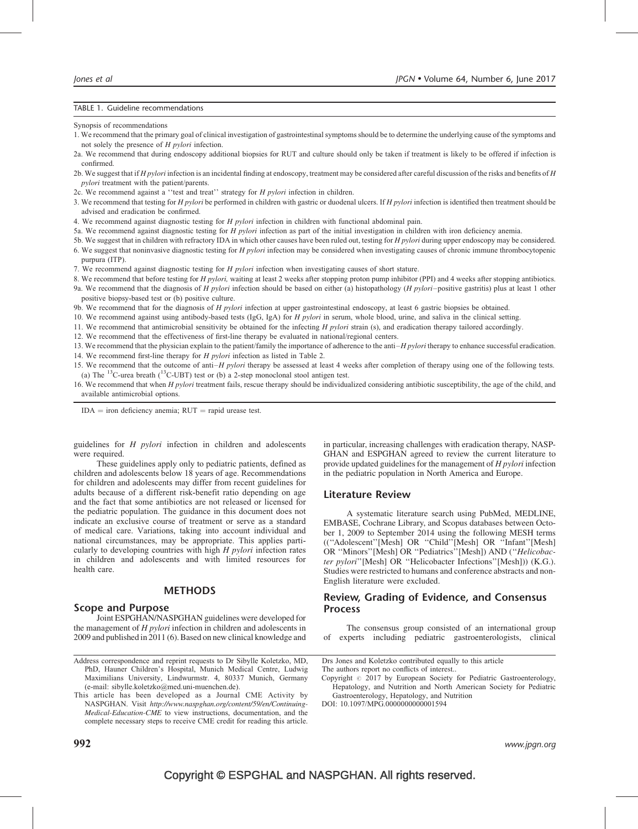#### <span id="page-1-0"></span>TABLE 1. Guideline recommendations

Synopsis of recommendations

- 1. We recommend that the primary goal of clinical investigation of gastrointestinal symptoms should be to determine the underlying cause of the symptoms and not solely the presence of H pylori infection.
- 2a. We recommend that during endoscopy additional biopsies for RUT and culture should only be taken if treatment is likely to be offered if infection is confirmed.
- 2b. We suggest that if  $H$  pylori infection is an incidental finding at endoscopy, treatment may be considered after careful discussion of the risks and benefits of  $H$ pylori treatment with the patient/parents.
- 2c. We recommend against a "test and treat" strategy for H pylori infection in children.
- 3. We recommend that testing for H pylori be performed in children with gastric or duodenal ulcers. If H pylori infection is identified then treatment should be advised and eradication be confirmed.
- 4. We recommend against diagnostic testing for H pylori infection in children with functional abdominal pain.
- 5a. We recommend against diagnostic testing for H pylori infection as part of the initial investigation in children with iron deficiency anemia.
- 5b. We suggest that in children with refractory IDA in which other causes have been ruled out, testing for H pylori during upper endoscopy may be considered. 6. We suggest that noninvasive diagnostic testing for H pylori infection may be considered when investigating causes of chronic immune thrombocytopenic purpura (ITP).
- 7. We recommend against diagnostic testing for H *pylori* infection when investigating causes of short stature.
- 8. We recommend that before testing for H pylori, waiting at least 2 weeks after stopping proton pump inhibitor (PPI) and 4 weeks after stopping antibiotics.
- 9a. We recommend that the diagnosis of H pylori infection should be based on either (a) histopathology (H pylori–positive gastritis) plus at least 1 other positive biopsy-based test or (b) positive culture.
- 9b. We recommend that for the diagnosis of H pylori infection at upper gastrointestinal endoscopy, at least 6 gastric biopsies be obtained.
- 10. We recommend against using antibody-based tests (IgG, IgA) for H pylori in serum, whole blood, urine, and saliva in the clinical setting.
- 11. We recommend that antimicrobial sensitivity be obtained for the infecting H pylori strain (s), and eradication therapy tailored accordingly.
- 12. We recommend that the effectiveness of first-line therapy be evaluated in national/regional centers.
- 13. We recommend that the physician explain to the patient/family the importance of adherence to the anti– $H$  pylori therapy to enhance successful eradication.
- 14. We recommend first-line therapy for *H pylori* infection as listed in [Table 2](#page-3-0).
- 15. We recommend that the outcome of anti–H pylori therapy be assessed at least 4 weeks after completion of therapy using one of the following tests. (a) The  $^{13}$ C-urea breath ( $^{13}$ C-UBT) test or (b) a 2-step monoclonal stool antigen test.
- 16. We recommend that when H pylori treatment fails, rescue therapy should be individualized considering antibiotic susceptibility, the age of the child, and available antimicrobial options.

 $IDA = iron deficiency anemia; RUT = rapid urease test.$ 

guidelines for H pylori infection in children and adolescents were required.

These guidelines apply only to pediatric patients, defined as children and adolescents below 18 years of age. Recommendations for children and adolescents may differ from recent guidelines for adults because of a different risk-benefit ratio depending on age and the fact that some antibiotics are not released or licensed for the pediatric population. The guidance in this document does not indicate an exclusive course of treatment or serve as a standard of medical care. Variations, taking into account individual and national circumstances, may be appropriate. This applies particularly to developing countries with high  $H$  *pylori* infection rates in children and adolescents and with limited resources for health care.

# **METHODS**

# Scope and Purpose

Joint ESPGHAN/NASPGHAN guidelines were developed for the management of  $H$  *pylori* infection in children and adolescents in 2009 and published in 2011 [\(6\).](#page-11-0) Based on new clinical knowledge and in particular, increasing challenges with eradication therapy, NASP-GHAN and ESPGHAN agreed to review the current literature to provide updated guidelines for the management of H pylori infection in the pediatric population in North America and Europe.

## Literature Review

A systematic literature search using PubMed, MEDLINE, EMBASE, Cochrane Library, and Scopus databases between October 1, 2009 to September 2014 using the following MESH terms ((''Adolescent''[Mesh] OR ''Child''[Mesh] OR ''Infant''[Mesh] OR ''Minors''[Mesh] OR ''Pediatrics''[Mesh]) AND (''Helicobacter pylori''[Mesh] OR ''Helicobacter Infections''[Mesh])) (K.G.). Studies were restricted to humans and conference abstracts and non-English literature were excluded.

# Review, Grading of Evidence, and Consensus Process

The consensus group consisted of an international group of experts including pediatric gastroenterologists, clinical

Address correspondence and reprint requests to Dr Sibylle Koletzko, MD, PhD, Hauner Children's Hospital, Munich Medical Centre, Ludwig Maximilians University, Lindwurmstr. 4, 80337 Munich, Germany (e-mail: [sibylle.koletzko@med.uni-muenchen.de\)](mailto:sibylle.koletzko@med.uni-muenchen.de).

This article has been developed as a Journal CME Activity by NASPGHAN. Visit [http://www.naspghan.org/content/59/en/Continuing-](http://www.naspghan.org/content/59/en/Continuing-Medical-Education-CME)[Medical-Education-CME](http://www.naspghan.org/content/59/en/Continuing-Medical-Education-CME) to view instructions, documentation, and the complete necessary steps to receive CME credit for reading this article.

Drs Jones and Koletzko contributed equally to this article The authors report no conflicts of interest..

Copyright  $\circ$  2017 by European Society for Pediatric Gastroenterology, Hepatology, and Nutrition and North American Society for Pediatric Gastroenterology, Hepatology, and Nutrition

DOI: [10.1097/MPG.0000000000001594](http://dx.doi.org/10.1097/MPG.0000000000001594)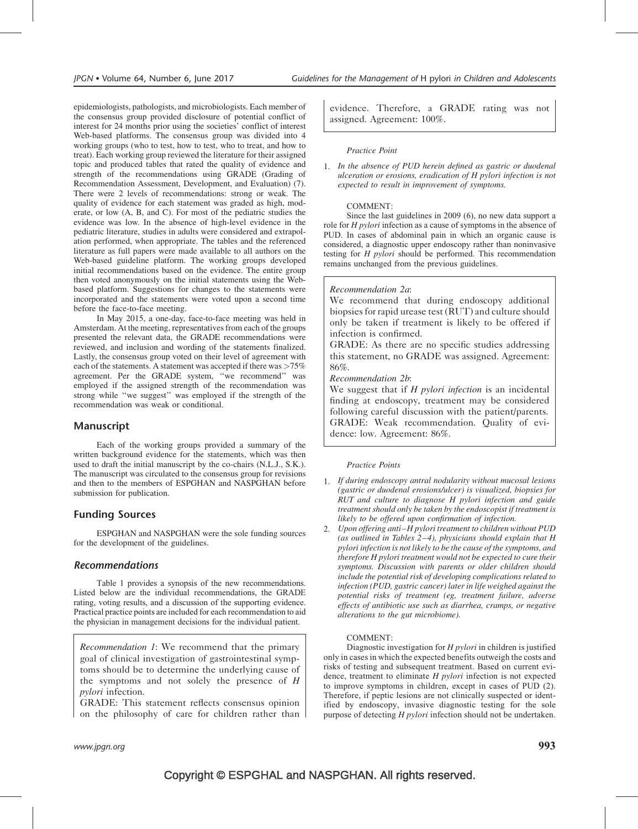epidemiologists, pathologists, and microbiologists. Each member of the consensus group provided disclosure of potential conflict of interest for 24 months prior using the societies' conflict of interest Web-based platforms. The consensus group was divided into 4 working groups (who to test, how to test, who to treat, and how to treat). Each working group reviewed the literature for their assigned topic and produced tables that rated the quality of evidence and strength of the recommendations using GRADE (Grading of Recommendation Assessment, Development, and Evaluation) [\(7\)](#page-11-0). There were 2 levels of recommendations: strong or weak. The quality of evidence for each statement was graded as high, moderate, or low (A, B, and C). For most of the pediatric studies the evidence was low. In the absence of high-level evidence in the pediatric literature, studies in adults were considered and extrapolation performed, when appropriate. The tables and the referenced literature as full papers were made available to all authors on the Web-based guideline platform. The working groups developed initial recommendations based on the evidence. The entire group then voted anonymously on the initial statements using the Webbased platform. Suggestions for changes to the statements were incorporated and the statements were voted upon a second time before the face-to-face meeting.

In May 2015, a one-day, face-to-face meeting was held in Amsterdam. At the meeting, representatives from each of the groups presented the relevant data, the GRADE recommendations were reviewed, and inclusion and wording of the statements finalized. Lastly, the consensus group voted on their level of agreement with each of the statements. A statement was accepted if there was >75% agreement. Per the GRADE system, ''we recommend'' was employed if the assigned strength of the recommendation was strong while ''we suggest'' was employed if the strength of the recommendation was weak or conditional.

# Manuscript

Each of the working groups provided a summary of the written background evidence for the statements, which was then used to draft the initial manuscript by the co-chairs (N.L.J., S.K.). The manuscript was circulated to the consensus group for revisions and then to the members of ESPGHAN and NASPGHAN before submission for publication.

# Funding Sources

ESPGHAN and NASPGHAN were the sole funding sources for the development of the guidelines.

# Recommendations

[Table 1](#page-1-0) provides a synopsis of the new recommendations. Listed below are the individual recommendations, the GRADE rating, voting results, and a discussion of the supporting evidence. Practical practice points are included for each recommendation to aid the physician in management decisions for the individual patient.

Recommendation 1: We recommend that the primary goal of clinical investigation of gastrointestinal symptoms should be to determine the underlying cause of the symptoms and not solely the presence of  $H$ pylori infection.

GRADE: This statement reflects consensus opinion on the philosophy of care for children rather than

evidence. Therefore, a GRADE rating was not assigned. Agreement: 100%.

# Practice Point

1. In the absence of PUD herein defined as gastric or duodenal ulceration or erosions, eradication of H pylori infection is not expected to result in improvement of symptoms.

# COMMENT:

Since the last guidelines in 2009 [\(6\),](#page-11-0) no new data support a role for H pylori infection as a cause of symptoms in the absence of PUD. In cases of abdominal pain in which an organic cause is considered, a diagnostic upper endoscopy rather than noninvasive testing for  $H$  *pylori* should be performed. This recommendation remains unchanged from the previous guidelines.

# Recommendation 2a:

We recommend that during endoscopy additional biopsies for rapid urease test (RUT) and culture should only be taken if treatment is likely to be offered if infection is confirmed.

GRADE: As there are no specific studies addressing this statement, no GRADE was assigned. Agreement: 86%.

Recommendation 2b:

We suggest that if  $H$  pylori infection is an incidental finding at endoscopy, treatment may be considered following careful discussion with the patient/parents. GRADE: Weak recommendation. Quality of evidence: low. Agreement: 86%.

# Practice Points

- 1. If during endoscopy antral nodularity without mucosal lesions (gastric or duodenal erosions/ulcer) is visualized, biopsies for RUT and culture to diagnose H pylori infection and guide treatment should only be taken by the endoscopist if treatment is likely to be offered upon confirmation of infection.
- 2. Upon offering anti–H pylori treatment to children without PUD (as outlined in [Tables 2–4\), physicians should explain that H](#page-3-0) [pylori infection is not likely to be the cause of the symptoms, and](#page-3-0) [therefore H pylori treatment would not be expected to cure their](#page-3-0) [symptoms. Discussion with parents or older children should](#page-3-0) [include the potential risk of developing complications related to](#page-3-0) [infection \(PUD, gastric cancer\) later in life weighed against the](#page-3-0) [potential risks of treatment \(eg, treatment failure, adverse](#page-3-0) [effects of antibiotic use such as diarrhea, cramps, or negative](#page-3-0) [alterations to the gut microbiome\).](#page-3-0)

# COMMENT:

Diagnostic investigation for  $H$  *pylori* in children is justified only in cases in which the expected benefits outweigh the costs and risks of testing and subsequent treatment. Based on current evidence, treatment to eliminate  $H$  pylori infection is not expected to improve symptoms in children, except in cases of PUD [\(2\).](#page-11-0) Therefore, if peptic lesions are not clinically suspected or identified by endoscopy, invasive diagnostic testing for the sole purpose of detecting H pylori infection should not be undertaken.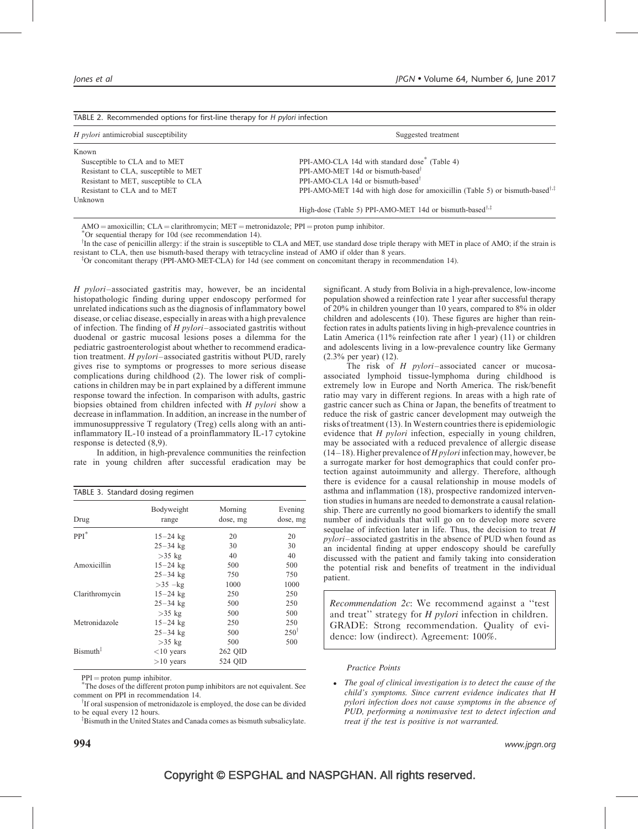<span id="page-3-0"></span>

| TABLE 2. Recommended options for first-line therapy for H pylori infection |                                                                                                                    |  |  |
|----------------------------------------------------------------------------|--------------------------------------------------------------------------------------------------------------------|--|--|
| <i>H pylori</i> antimicrobial susceptibility                               | Suggested treatment                                                                                                |  |  |
| Known                                                                      |                                                                                                                    |  |  |
| Susceptible to CLA and to MET                                              | PPI-AMO-CLA 14d with standard dose <sup>*</sup> (Table 4)                                                          |  |  |
| Resistant to CLA, susceptible to MET                                       | PPI-AMO-MET 14d or bismuth-based <sup>†</sup>                                                                      |  |  |
| Resistant to MET, susceptible to CLA                                       | PPI-AMO-CLA 14d or bismuth-based <sup>†</sup>                                                                      |  |  |
| Resistant to CLA and to MET                                                | PPI-AMO-MET 14d with high dose for amoxicillin (Table 5) or bismuth-based <sup><math>\dagger,\ddagger</math></sup> |  |  |
| Unknown                                                                    |                                                                                                                    |  |  |
|                                                                            | High-dose (Table 5) PPI-AMO-MET 14d or bismuth-based <sup>†,<math>\ddagger</math></sup>                            |  |  |

 $AMO =$  amoxicillin;  $CLA =$  clarithromycin; MET = metronidazole; PPI = proton pump inhibitor.

Or sequential therapy for 10d (see recommendation 14).

<sup>†</sup>In the case of penicillin allergy: if the strain is susceptible to CLA and MET, use standard dose triple therapy with MET in place of AMO; if the strain is resistant to CLA, then use bismuth-based therapy with tetracycline instead of AMO if older than 8 years.

<sup>T</sup>Or concomitant therapy (PPI-AMO-MET-CLA) for 14d (see comment on concomitant therapy in recommendation 14).

H pylori–associated gastritis may, however, be an incidental histopathologic finding during upper endoscopy performed for unrelated indications such as the diagnosis of inflammatory bowel disease, or celiac disease, especially in areas with a high prevalence of infection. The finding of  $H$  *pylori*-associated gastritis without duodenal or gastric mucosal lesions poses a dilemma for the pediatric gastroenterologist about whether to recommend eradication treatment. H pylori–associated gastritis without PUD, rarely gives rise to symptoms or progresses to more serious disease complications during childhood [\(2\)](#page-11-0). The lower risk of complications in children may be in part explained by a different immune response toward the infection. In comparison with adults, gastric biopsies obtained from children infected with H pylori show a decrease in inflammation. In addition, an increase in the number of immunosuppressive T regulatory (Treg) cells along with an antiinflammatory IL-10 instead of a proinflammatory IL-17 cytokine response is detected [\(8,9\)](#page-11-0).

In addition, in high-prevalence communities the reinfection rate in young children after successful eradication may be

| TABLE 3. Standard dosing regimen |                     |                     |                     |  |  |
|----------------------------------|---------------------|---------------------|---------------------|--|--|
| Drug                             | Bodyweight<br>range | Morning<br>dose, mg | Evening<br>dose, mg |  |  |
| $PPI^*$                          | $15 - 24$ kg        | 20                  | 20                  |  |  |
|                                  | $25 - 34$ kg        | 30                  | 30                  |  |  |
|                                  | $>35$ kg            | 40                  | 40                  |  |  |
| Amoxicillin                      | $15 - 24$ kg        | 500                 | 500                 |  |  |
|                                  | $25 - 34$ kg        | 750                 | 750                 |  |  |
|                                  | $>35$ -kg           | 1000                | 1000                |  |  |
| Clarithromycin                   | $15 - 24$ kg        | 250                 | 250                 |  |  |
|                                  | $25 - 34$ kg        | 500                 | 250                 |  |  |
|                                  | $>35$ kg            | 500                 | 500                 |  |  |
| Metronidazole                    | $15 - 24$ kg        | 250                 | 250                 |  |  |
|                                  | $25 - 34$ kg        | 500                 | $250^{\dagger}$     |  |  |
|                                  | $>35$ kg            | 500                 | 500                 |  |  |
| $Bismuth^{\ddagger}$             | $<$ 10 years        | 262 QID             |                     |  |  |
|                                  | $>10$ years         | 524 OID             |                     |  |  |

 $PPI =$  proton pump inhibitor.

The doses of the different proton pump inhibitors are not equivalent. See comment on PPI in recommendation 14.

<sup>†</sup>If oral suspension of metronidazole is employed, the dose can be divided to be equal every 12 hours.

<sup>‡</sup>Bismuth in the United States and Canada comes as bismuth subsalicylate.

significant. A study from Bolivia in a high-prevalence, low-income population showed a reinfection rate 1 year after successful therapy of 20% in children younger than 10 years, compared to 8% in older children and adolescents [\(10\).](#page-11-0) These figures are higher than reinfection rates in adults patients living in high-prevalence countries in Latin America (11% reinfection rate after 1 year) [\(11\)](#page-11-0) or children and adolescents living in a low-prevalence country like Germany (2.3% per year) [\(12\)](#page-11-0).

The risk of H *pylori*–associated cancer or mucosaassociated lymphoid tissue-lymphoma during childhood is extremely low in Europe and North America. The risk/benefit ratio may vary in different regions. In areas with a high rate of gastric cancer such as China or Japan, the benefits of treatment to reduce the risk of gastric cancer development may outweigh the risks of treatment [\(13\).](#page-11-0) In Western countries there is epidemiologic evidence that H pylori infection, especially in young children, may be associated with a reduced prevalence of allergic disease  $(14–18)$ . Higher prevalence of *H pylori* infection may, however, be a surrogate marker for host demographics that could confer protection against autoimmunity and allergy. Therefore, although there is evidence for a causal relationship in mouse models of asthma and inflammation [\(18\),](#page-11-0) prospective randomized intervention studies in humans are needed to demonstrate a causal relationship. There are currently no good biomarkers to identify the small number of individuals that will go on to develop more severe sequelae of infection later in life. Thus, the decision to treat  $H$ pylori–associated gastritis in the absence of PUD when found as an incidental finding at upper endoscopy should be carefully discussed with the patient and family taking into consideration the potential risk and benefits of treatment in the individual patient.

Recommendation 2c: We recommend against a ''test and treat" strategy for H pylori infection in children. GRADE: Strong recommendation. Quality of evidence: low (indirect). Agreement: 100%.

#### Practice Points

• The goal of clinical investigation is to detect the cause of the child's symptoms. Since current evidence indicates that H pylori infection does not cause symptoms in the absence of PUD, performing a noninvasive test to detect infection and treat if the test is positive is not warranted.

 $994$  www.jpgn.org www.jpgn.org www.jp $\,$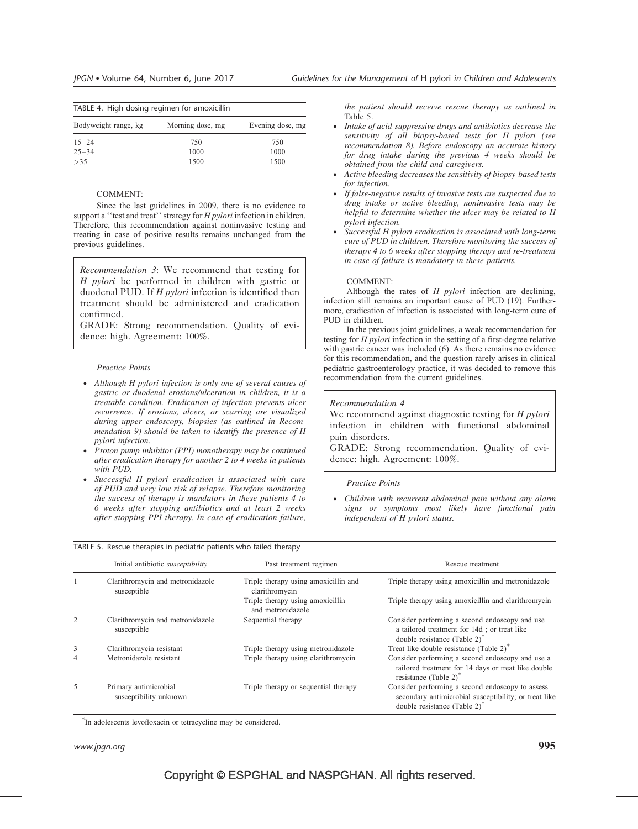<span id="page-4-0"></span>

| TABLE 4. High dosing regimen for amoxicillin |                  |                  |  |  |
|----------------------------------------------|------------------|------------------|--|--|
| Bodyweight range, kg                         | Morning dose, mg | Evening dose, mg |  |  |
| $15 - 24$                                    | 750              | 750              |  |  |
| $25 - 34$                                    | 1000             | 1000             |  |  |
| >35                                          | 1500             | 1500             |  |  |

### COMMENT:

Since the last guidelines in 2009, there is no evidence to support a "test and treat" strategy for H pylori infection in children. Therefore, this recommendation against noninvasive testing and treating in case of positive results remains unchanged from the previous guidelines.

Recommendation 3: We recommend that testing for H pylori be performed in children with gastric or duodenal PUD. If H pylori infection is identified then treatment should be administered and eradication confirmed.

GRADE: Strong recommendation. Quality of evidence: high. Agreement: 100%.

#### Practice Points

- Although H pylori infection is only one of several causes of gastric or duodenal erosions/ulceration in children, it is a treatable condition. Eradication of infection prevents ulcer recurrence. If erosions, ulcers, or scarring are visualized during upper endoscopy, biopsies (as outlined in Recommendation 9) should be taken to identify the presence of H pylori infection.
- Proton pump inhibitor (PPI) monotherapy may be continued after eradication therapy for another 2 to 4 weeks in patients with PUD.
- Successful H pylori eradication is associated with cure of PUD and very low risk of relapse. Therefore monitoring the success of therapy is mandatory in these patients 4 to 6 weeks after stopping antibiotics and at least 2 weeks after stopping PPI therapy. In case of eradication failure,

TABLE 5. Rescue therapies in pediatric patients who failed therapy

the patient should receive rescue therapy as outlined in Table 5.

- Intake of acid-suppressive drugs and antibiotics decrease the sensitivity of all biopsy-based tests for H pylori (see recommendation 8). Before endoscopy an accurate history for drug intake during the previous 4 weeks should be obtained from the child and caregivers.
- Active bleeding decreases the sensitivity of biopsy-based tests for infection.
- If false-negative results of invasive tests are suspected due to drug intake or active bleeding, noninvasive tests may be helpful to determine whether the ulcer may be related to H pylori infection.
- Successful H pylori eradication is associated with long-term cure of PUD in children. Therefore monitoring the success of therapy 4 to 6 weeks after stopping therapy and re-treatment in case of failure is mandatory in these patients.

#### COMMENT:

Although the rates of  $H$  *pylori* infection are declining, infection still remains an important cause of PUD [\(19\).](#page-11-0) Furthermore, eradication of infection is associated with long-term cure of PUD in children.

In the previous joint guidelines, a weak recommendation for testing for H pylori infection in the setting of a first-degree relative with gastric cancer was included [\(6\).](#page-11-0) As there remains no evidence for this recommendation, and the question rarely arises in clinical pediatric gastroenterology practice, it was decided to remove this recommendation from the current guidelines.

#### Recommendation 4

We recommend against diagnostic testing for H pylori infection in children with functional abdominal pain disorders.

GRADE: Strong recommendation. Quality of evidence: high. Agreement: 100%.

#### Practice Points

 Children with recurrent abdominal pain without any alarm signs or symptoms most likely have functional pain independent of H pylori status.

|                | Initial antibiotic susceptibility               | Past treatment regimen                                 | Rescue treatment                                                                                                                             |
|----------------|-------------------------------------------------|--------------------------------------------------------|----------------------------------------------------------------------------------------------------------------------------------------------|
|                | Clarithromycin and metronidazole<br>susceptible | Triple therapy using amoxicillin and<br>clarithromycin | Triple therapy using amoxicillin and metronidazole                                                                                           |
|                |                                                 | Triple therapy using amoxicillin<br>and metronidazole  | Triple therapy using amoxicillin and clarithromycin                                                                                          |
| 2              | Clarithromycin and metronidazole<br>susceptible | Sequential therapy                                     | Consider performing a second endoscopy and use<br>a tailored treatment for 14d; or treat like<br>double resistance (Table 2) <sup>*</sup>    |
| 3              | Clarithromycin resistant                        | Triple therapy using metronidazole                     | Treat like double resistance (Table 2) <sup>*</sup>                                                                                          |
| $\overline{4}$ | Metronidazole resistant                         | Triple therapy using clarithromycin                    | Consider performing a second endoscopy and use a<br>tailored treatment for 14 days or treat like double<br>resistance (Table 2) <sup>*</sup> |
| 5              | Primary antimicrobial<br>susceptibility unknown | Triple therapy or sequential therapy                   | Consider performing a second endoscopy to assess<br>secondary antimicrobial susceptibility; or treat like<br>double resistance $(Table 2)^*$ |

- In adolescents levofloxacin or tetracycline may be considered.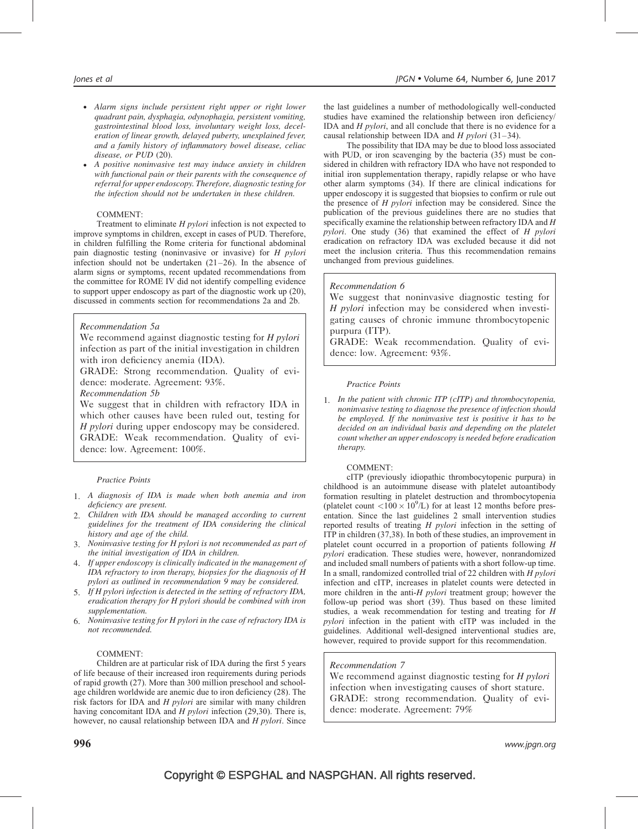- Alarm signs include persistent right upper or right lower quadrant pain, dysphagia, odynophagia, persistent vomiting, gastrointestinal blood loss, involuntary weight loss, deceleration of linear growth, delayed puberty, unexplained fever, and a family history of inflammatory bowel disease, celiac disease, or PUD [\(20\)](#page-11-0).
- A positive noninvasive test may induce anxiety in children with functional pain or their parents with the consequence of referral for upper endoscopy. Therefore, diagnostic testing for the infection should not be undertaken in these children.

# COMMENT:

Treatment to eliminate H pylori infection is not expected to improve symptoms in children, except in cases of PUD. Therefore, in children fulfilling the Rome criteria for functional abdominal pain diagnostic testing (noninvasive or invasive) for H pylori infection should not be undertaken [\(21–26\).](#page-11-0) In the absence of alarm signs or symptoms, recent updated recommendations from the committee for ROME IV did not identify compelling evidence to support upper endoscopy as part of the diagnostic work up [\(20\)](#page-11-0), discussed in comments section for recommendations 2a and 2b.

# Recommendation 5a

We recommend against diagnostic testing for H pylori infection as part of the initial investigation in children with iron deficiency anemia (IDA).

GRADE: Strong recommendation. Quality of evidence: moderate. Agreement: 93%.

Recommendation 5b

We suggest that in children with refractory IDA in which other causes have been ruled out, testing for H pylori during upper endoscopy may be considered. GRADE: Weak recommendation. Quality of evidence: low. Agreement: 100%.

## Practice Points

- 1. A diagnosis of IDA is made when both anemia and iron deficiency are present.
- 2. Children with IDA should be managed according to current guidelines for the treatment of IDA considering the clinical history and age of the child.
- 3. Noninvasive testing for H pylori is not recommended as part of the initial investigation of IDA in children.
- 4. If upper endoscopy is clinically indicated in the management of IDA refractory to iron therapy, biopsies for the diagnosis of H pylori as outlined in recommendation 9 may be considered.
- 5. If H pylori infection is detected in the setting of refractory IDA, eradication therapy for H pylori should be combined with iron supplementation.
- 6. Noninvasive testing for H pylori in the case of refractory IDA is not recommended.

## COMMENT:

Children are at particular risk of IDA during the first 5 years of life because of their increased iron requirements during periods of rapid growth [\(27\).](#page-11-0) More than 300 million preschool and schoolage children worldwide are anemic due to iron deficiency [\(28\)](#page-11-0). The risk factors for IDA and H pylori are similar with many children having concomitant IDA and *H pylori* infection [\(29,30\)](#page-11-0). There is, however, no causal relationship between IDA and H pylori. Since

the last guidelines a number of methodologically well-conducted studies have examined the relationship between iron deficiency/ IDA and H pylori, and all conclude that there is no evidence for a causal relationship between IDA and  $H$  *pylori* [\(31–34\)](#page-11-0).

The possibility that IDA may be due to blood loss associated with PUD, or iron scavenging by the bacteria [\(35\)](#page-11-0) must be considered in children with refractory IDA who have not responded to initial iron supplementation therapy, rapidly relapse or who have other alarm symptoms [\(34\).](#page-11-0) If there are clinical indications for upper endoscopy it is suggested that biopsies to confirm or rule out the presence of  $H$  *pylori* infection may be considered. Since the publication of the previous guidelines there are no studies that specifically examine the relationship between refractory IDA and  $H$ pylori. One study [\(36\)](#page-11-0) that examined the effect of H pylori eradication on refractory IDA was excluded because it did not meet the inclusion criteria. Thus this recommendation remains unchanged from previous guidelines.

# Recommendation 6

We suggest that noninvasive diagnostic testing for H pylori infection may be considered when investigating causes of chronic immune thrombocytopenic purpura (ITP).

GRADE: Weak recommendation. Quality of evidence: low. Agreement: 93%.

## Practice Points

1. In the patient with chronic ITP (cITP) and thrombocytopenia, noninvasive testing to diagnose the presence of infection should be employed. If the noninvasive test is positive it has to be decided on an individual basis and depending on the platelet count whether an upper endoscopy is needed before eradication therapy.

## COMMENT:

cITP (previously idiopathic thrombocytopenic purpura) in childhood is an autoimmune disease with platelet autoantibody formation resulting in platelet destruction and thrombocytopenia (platelet count  $\langle 100 \times 10^9/\text{L} \rangle$  for at least 12 months before presentation. Since the last guidelines 2 small intervention studies reported results of treating H pylori infection in the setting of ITP in children [\(37,38\)](#page-11-0). In both of these studies, an improvement in platelet count occurred in a proportion of patients following H pylori eradication. These studies were, however, nonrandomized and included small numbers of patients with a short follow-up time. In a small, randomized controlled trial of 22 children with  $H$  pylori infection and cITP, increases in platelet counts were detected in more children in the anti-H *pylori* treatment group; however the follow-up period was short [\(39\).](#page-11-0) Thus based on these limited studies, a weak recommendation for testing and treating for H pylori infection in the patient with cITP was included in the guidelines. Additional well-designed interventional studies are, however, required to provide support for this recommendation.

# Recommendation 7

We recommend against diagnostic testing for H pylori infection when investigating causes of short stature. GRADE: strong recommendation. Quality of evidence: moderate. Agreement: 79%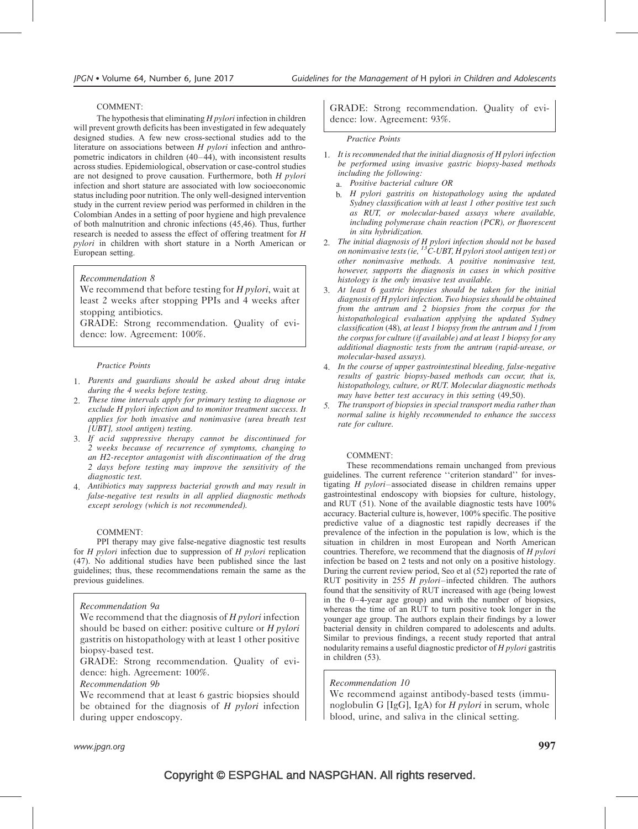# COMMENT:

The hypothesis that eliminating  $H$  pylori infection in children will prevent growth deficits has been investigated in few adequately designed studies. A few new cross-sectional studies add to the literature on associations between H pylori infection and anthropometric indicators in children [\(40–44\)](#page-11-0), with inconsistent results across studies. Epidemiological, observation or case-control studies are not designed to prove causation. Furthermore, both H pylori infection and short stature are associated with low socioeconomic status including poor nutrition. The only well-designed intervention study in the current review period was performed in children in the Colombian Andes in a setting of poor hygiene and high prevalence of both malnutrition and chronic infections [\(45,46\)](#page-12-0). Thus, further research is needed to assess the effect of offering treatment for  $H$ pylori in children with short stature in a North American or European setting.

# Recommendation 8

We recommend that before testing for H pylori, wait at least 2 weeks after stopping PPIs and 4 weeks after stopping antibiotics.

GRADE: Strong recommendation. Quality of evidence: low. Agreement: 100%.

# Practice Points

- 1. Parents and guardians should be asked about drug intake during the 4 weeks before testing.
- 2. These time intervals apply for primary testing to diagnose or exclude H pylori infection and to monitor treatment success. It applies for both invasive and noninvasive (urea breath test [UBT], stool antigen) testing.
- 3. If acid suppressive therapy cannot be discontinued for 2 weeks because of recurrence of symptoms, changing to an H2-receptor antagonist with discontinuation of the drug 2 days before testing may improve the sensitivity of the diagnostic test.
- 4. Antibiotics may suppress bacterial growth and may result in false-negative test results in all applied diagnostic methods except serology (which is not recommended).

# COMMENT:

PPI therapy may give false-negative diagnostic test results for H pylori infection due to suppression of H pylori replication [\(47\)](#page-12-0). No additional studies have been published since the last guidelines; thus, these recommendations remain the same as the previous guidelines.

# Recommendation 9a

We recommend that the diagnosis of H pylori infection should be based on either: positive culture or H pylori gastritis on histopathology with at least 1 other positive biopsy-based test.

GRADE: Strong recommendation. Quality of evidence: high. Agreement: 100%.

Recommendation 9b

We recommend that at least 6 gastric biopsies should be obtained for the diagnosis of  $H$  pylori infection during upper endoscopy.

GRADE: Strong recommendation. Quality of evidence: low. Agreement: 93%.

## Practice Points

- 1. It is recommended that the initial diagnosis of H pylori infection be performed using invasive gastric biopsy-based methods including the following:
	- a. Positive bacterial culture OR
	- b. H pylori gastritis on histopathology using the updated Sydney classification with at least 1 other positive test such as RUT, or molecular-based assays where available, including polymerase chain reaction (PCR), or fluorescent in situ hybridization.
- 2. The initial diagnosis of H pylori infection should not be based on noninvasive tests (ie,  ${}^{13}C$ -UBT, H pylori stool antigen test) or other noninvasive methods. A positive noninvasive test, however, supports the diagnosis in cases in which positive histology is the only invasive test available.
- 3. At least 6 gastric biopsies should be taken for the initial diagnosis of H pylori infection. Two biopsies should be obtained from the antrum and 2 biopsies from the corpus for the histopathological evaluation applying the updated Sydney classification [\(48\)](#page-12-0), at least 1 biopsy from the antrum and 1 from the corpus for culture (if available) and at least 1 biopsy for any additional diagnostic tests from the antrum (rapid-urease, or molecular-based assays).
- 4. In the course of upper gastrointestinal bleeding, false-negative results of gastric biopsy-based methods can occur, that is, histopathology, culture, or RUT. Molecular diagnostic methods may have better test accuracy in this setting [\(49,50\).](#page-12-0)
- 5. The transport of biopsies in special transport media rather than normal saline is highly recommended to enhance the success rate for culture.

# COMMENT:

These recommendations remain unchanged from previous guidelines. The current reference ''criterion standard'' for investigating H pylori–associated disease in children remains upper gastrointestinal endoscopy with biopsies for culture, histology, and RUT [\(51\)](#page-12-0). None of the available diagnostic tests have 100% accuracy. Bacterial culture is, however, 100% specific. The positive predictive value of a diagnostic test rapidly decreases if the prevalence of the infection in the population is low, which is the situation in children in most European and North American countries. Therefore, we recommend that the diagnosis of H pylori infection be based on 2 tests and not only on a positive histology. During the current review period, Seo et al [\(52\)](#page-12-0) reported the rate of RUT positivity in 255  $H$  pylori–infected children. The authors found that the sensitivity of RUT increased with age (being lowest in the 0–4-year age group) and with the number of biopsies, whereas the time of an RUT to turn positive took longer in the younger age group. The authors explain their findings by a lower bacterial density in children compared to adolescents and adults. Similar to previous findings, a recent study reported that antral nodularity remains a useful diagnostic predictor of H pylori gastritis in children [\(53\)](#page-12-0).

# Recommendation 10

We recommend against antibody-based tests (immunoglobulin G [IgG], IgA) for *H pylori* in serum, whole blood, urine, and saliva in the clinical setting.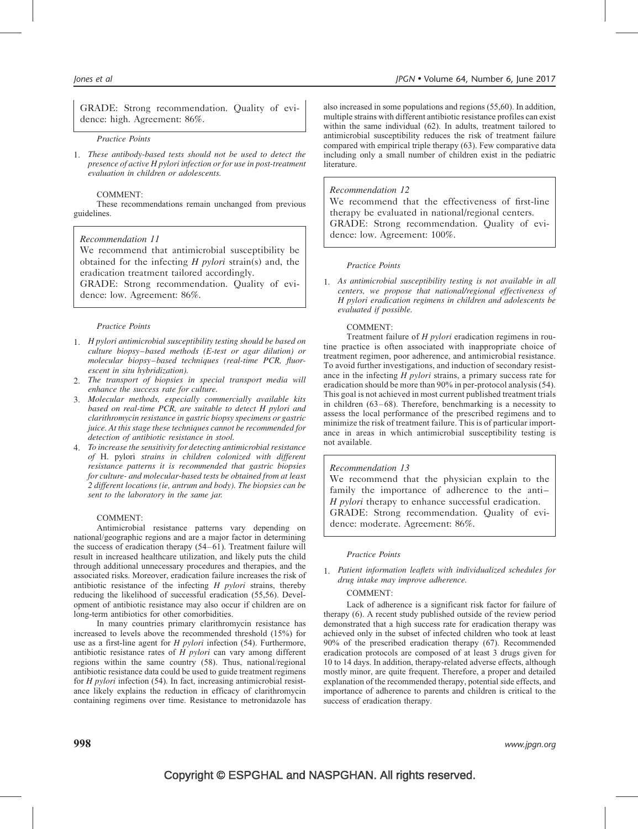GRADE: Strong recommendation. Quality of evidence: high. Agreement: 86%.

#### Practice Points

1. These antibody-based tests should not be used to detect the presence of active H pylori infection or for use in post-treatment evaluation in children or adolescents.

#### COMMENT:

These recommendations remain unchanged from previous guidelines.

## Recommendation 11

We recommend that antimicrobial susceptibility be obtained for the infecting  $H$  pylori strain(s) and, the eradication treatment tailored accordingly.

GRADE: Strong recommendation. Quality of evidence: low. Agreement: 86%.

#### Practice Points

- 1. H pylori antimicrobial susceptibility testing should be based on culture biopsy–based methods (E-test or agar dilution) or molecular biopsy–based techniques (real-time PCR, fluorescent in situ hybridization).
- 2. The transport of biopsies in special transport media will enhance the success rate for culture.
- 3. Molecular methods, especially commercially available kits based on real-time PCR, are suitable to detect H pylori and clarithromycin resistance in gastric biopsy specimens or gastric juice. At this stage these techniques cannot be recommended for detection of antibiotic resistance in stool.
- 4. To increase the sensitivity for detecting antimicrobial resistance of H. pylori strains in children colonized with different resistance patterns it is recommended that gastric biopsies for culture- and molecular-based tests be obtained from at least 2 different locations (ie, antrum and body). The biopsies can be sent to the laboratory in the same jar.

## COMMENT:

Antimicrobial resistance patterns vary depending on national/geographic regions and are a major factor in determining the success of eradication therapy [\(54–61\)](#page-12-0). Treatment failure will result in increased healthcare utilization, and likely puts the child through additional unnecessary procedures and therapies, and the associated risks. Moreover, eradication failure increases the risk of antibiotic resistance of the infecting  $H$  pylori strains, thereby reducing the likelihood of successful eradication [\(55,56\)](#page-12-0). Development of antibiotic resistance may also occur if children are on long-term antibiotics for other comorbidities.

In many countries primary clarithromycin resistance has increased to levels above the recommended threshold (15%) for use as a first-line agent for H pylori infection [\(54\).](#page-12-0) Furthermore, antibiotic resistance rates of  $H$  pylori can vary among different regions within the same country [\(58\).](#page-12-0) Thus, national/regional antibiotic resistance data could be used to guide treatment regimens for H pylori infection [\(54\)](#page-12-0). In fact, increasing antimicrobial resistance likely explains the reduction in efficacy of clarithromycin containing regimens over time. Resistance to metronidazole has

also increased in some populations and regions [\(55,60\)](#page-12-0). In addition, multiple strains with different antibiotic resistance profiles can exist within the same individual [\(62\)](#page-12-0). In adults, treatment tailored to antimicrobial susceptibility reduces the risk of treatment failure compared with empirical triple therapy [\(63\)](#page-12-0). Few comparative data including only a small number of children exist in the pediatric literature.

## Recommendation 12

We recommend that the effectiveness of first-line therapy be evaluated in national/regional centers. GRADE: Strong recommendation. Quality of evidence: low. Agreement: 100%.

#### Practice Points

1. As antimicrobial susceptibility testing is not available in all centers, we propose that national/regional effectiveness of H pylori eradication regimens in children and adolescents be evaluated if possible.

#### COMMENT:

Treatment failure of H pylori eradication regimens in routine practice is often associated with inappropriate choice of treatment regimen, poor adherence, and antimicrobial resistance. To avoid further investigations, and induction of secondary resistance in the infecting H pylori strains, a primary success rate for eradication should be more than 90% in per-protocol analysis [\(54\).](#page-12-0) This goal is not achieved in most current published treatment trials in children [\(63–68\)](#page-12-0). Therefore, benchmarking is a necessity to assess the local performance of the prescribed regimens and to minimize the risk of treatment failure. This is of particular importance in areas in which antimicrobial susceptibility testing is not available.

## Recommendation 13

We recommend that the physician explain to the family the importance of adherence to the anti– H pylori therapy to enhance successful eradication. GRADE: Strong recommendation. Quality of evidence: moderate. Agreement: 86%.

#### Practice Points

1. Patient information leaflets with individualized schedules for drug intake may improve adherence.

#### COMMENT:

Lack of adherence is a significant risk factor for failure of therapy [\(6\).](#page-11-0) A recent study published outside of the review period demonstrated that a high success rate for eradication therapy was achieved only in the subset of infected children who took at least 90% of the prescribed eradication therapy [\(67\)](#page-12-0). Recommended eradication protocols are composed of at least 3 drugs given for 10 to 14 days. In addition, therapy-related adverse effects, although mostly minor, are quite frequent. Therefore, a proper and detailed explanation of the recommended therapy, potential side effects, and importance of adherence to parents and children is critical to the success of eradication therapy.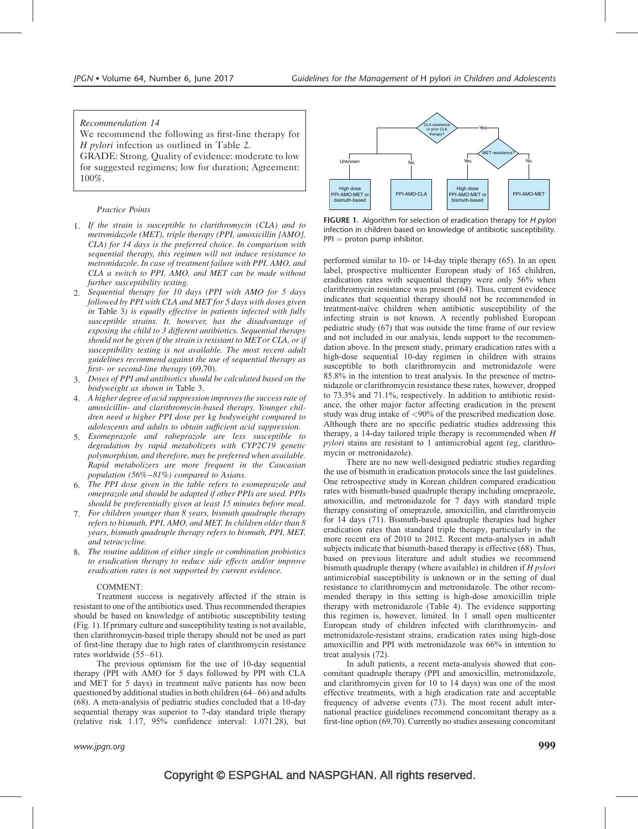# Recommendation 14

We recommend the following as first-line therapy for H pylori infection as outlined in [Table 2.](#page-3-0)

GRADE: Strong. Quality of evidence: moderate to low for suggested regimens; low for duration; Agreement: 100%.

#### Practice Points

- 1. If the strain is susceptible to clarithromycin (CLA) and to metronidazole (MET), triple therapy (PPI, amoxicillin [AMO], CLA) for 14 days is the preferred choice. In comparison with sequential therapy, this regimen will not induce resistance to metronidazole. In case of treatment failure with PPI, AMO, and CLA a switch to PPI, AMO, and MET can be made without further susceptibility testing.
- 2. Sequential therapy for 10 days (PPI with AMO for 5 days followed by PPI with CLA and MET for 5 days with doses given in [Table 3](#page-3-0)) is equally effective in patients infected with fully susceptible strains. It, however, has the disadvantage of exposing the child to 3 different antibiotics. Sequential therapy should not be given if the strain is resistant to MET or CLA, or if susceptibility testing is not available. The most recent adult guidelines recommend against the use of sequential therapy as first- or second-line therapy [\(69,70\)](#page-12-0).
- 3. Doses of PPI and antibiotics should be calculated based on the bodyweight as shown in [Table 3.](#page-3-0)
- 4. A higher degree of acid suppression improves the success rate of amoxicillin- and clarithromycin-based therapy. Younger children need a higher PPI dose per kg bodyweight compared to adolescents and adults to obtain sufficient acid suppression.
- 5. Esomeprazole and rabeprazole are less susceptible to degradation by rapid metabolizers with CYP2C19 genetic polymorphism, and therefore, may be preferred when available. Rapid metabolizers are more frequent in the Caucasian population (56%–81%) compared to Asians.
- 6. The PPI dose given in the table refers to esomeprazole and omeprazole and should be adapted if other PPIs are used. PPIs should be preferentially given at least 15 minutes before meal.
- 7. For children younger than 8 years, bismuth quadruple therapy refers to bismuth, PPI, AMO, and MET. In children older than 8 years, bismuth quadruple therapy refers to bismuth, PPI, MET, and tetracycline.
- 8. The routine addition of either single or combination probiotics to eradication therapy to reduce side effects and/or improve eradication rates is not supported by current evidence.

#### COMMENT:

Treatment success is negatively affected if the strain is resistant to one of the antibiotics used. Thus recommended therapies should be based on knowledge of antibiotic susceptibility testing (Fig. 1). If primary culture and susceptibility testing is not available, then clarithromycin-based triple therapy should not be used as part of first-line therapy due to high rates of clarithromycin resistance rates worldwide [\(55–61\).](#page-12-0)

The previous optimism for the use of 10-day sequential therapy (PPI with AMO for 5 days followed by PPI with CLA and MET for 5 days) in treatment naïve patients has now been questioned by additional studies in both children [\(64–66\)](#page-12-0) and adults [\(68\)](#page-12-0). A meta-analysis of pediatric studies concluded that a 10-day sequential therapy was superior to 7-day standard triple therapy (relative risk 1.17, 95% confidence interval: 1.071.28), but



FIGURE 1. Algorithm for selection of eradication therapy for H pylori infection in children based on knowledge of antibiotic susceptibility.  $PPI =$  proton pump inhibitor.

performed similar to 10- or 14-day triple therapy [\(65\).](#page-12-0) In an open label, prospective multicenter European study of 165 children, eradication rates with sequential therapy were only 56% when clarithromycin resistance was present [\(64\)](#page-12-0). Thus, current evidence indicates that sequential therapy should not be recommended in treatment-naïve children when antibiotic susceptibility of the infecting strain is not known. A recently published European pediatric study [\(67\)](#page-12-0) that was outside the time frame of our review and not included in our analysis, lends support to the recommendation above. In the present study, primary eradication rates with a high-dose sequential 10-day regimen in children with strains susceptible to both clarithromycin and metronidazole were 85.8% in the intention to treat analysis. In the presence of metronidazole or clarithromycin resistance these rates, however, dropped to 73.3% and 71.1%, respectively. In addition to antibiotic resistance, the other major factor affecting eradication in the present study was drug intake of <90% of the prescribed medication dose. Although there are no specific pediatric studies addressing this therapy, a 14-day tailored triple therapy is recommended when H pylori stains are resistant to 1 antimicrobial agent (eg, clarithromycin or metronidazole).

There are no new well-designed pediatric studies regarding the use of bismuth in eradication protocols since the last guidelines. One retrospective study in Korean children compared eradication rates with bismuth-based quadruple therapy including omeprazole, amoxicillin, and metronidazole for 7 days with standard triple therapy consisting of omeprazole, amoxicillin, and clarithromycin for 14 days [\(71\).](#page-12-0) Bismuth-based quadruple therapies had higher eradication rates than standard triple therapy, particularly in the more recent era of 2010 to 2012. Recent meta-analyses in adult subjects indicate that bismuth-based therapy is effective [\(68\)](#page-12-0). Thus, based on previous literature and adult studies we recommend bismuth quadruple therapy (where available) in children if H pylori antimicrobial susceptibility is unknown or in the setting of dual resistance to clarithromycin and metronidazole. The other recommended therapy in this setting is high-dose amoxicillin triple therapy with metronidazole ([Table 4\)](#page-4-0). The evidence supporting this regimen is, however, limited. In 1 small open multicenter European study of children infected with clarithromycin- and metronidazole-resistant strains, eradication rates using high-dose amoxicillin and PPI with metronidazole was 66% in intention to treat analysis [\(72\).](#page-12-0)

In adult patients, a recent meta-analysis showed that concomitant quadruple therapy (PPI and amoxicillin, metronidazole, and clarithromycin given for 10 to 14 days) was one of the most effective treatments, with a high eradication rate and acceptable frequency of adverse events [\(73\).](#page-12-0) The most recent adult international practice guidelines recommend concomitant therapy as a first-line option [\(69,70\).](#page-12-0) Currently no studies assessing concomitant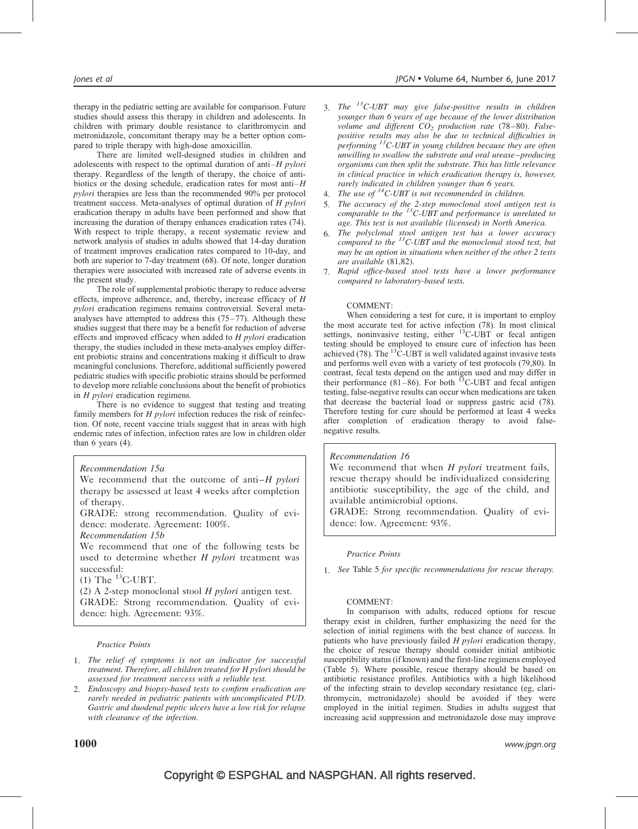therapy in the pediatric setting are available for comparison. Future studies should assess this therapy in children and adolescents. In children with primary double resistance to clarithromycin and metronidazole, concomitant therapy may be a better option compared to triple therapy with high-dose amoxicillin.

There are limited well-designed studies in children and adolescents with respect to the optimal duration of anti– $H$  pylori therapy. Regardless of the length of therapy, the choice of antibiotics or the dosing schedule, eradication rates for most anti–H pylori therapies are less than the recommended 90% per protocol treatment success. Meta-analyses of optimal duration of  $H$  pylori eradication therapy in adults have been performed and show that increasing the duration of therapy enhances eradication rates [\(74\)](#page-12-0). With respect to triple therapy, a recent systematic review and network analysis of studies in adults showed that 14-day duration of treatment improves eradication rates compared to 10-day, and both are superior to 7-day treatment [\(68\).](#page-12-0) Of note, longer duration therapies were associated with increased rate of adverse events in the present study.

The role of supplemental probiotic therapy to reduce adverse effects, improve adherence, and, thereby, increase efficacy of H pylori eradication regimens remains controversial. Several metaanalyses have attempted to address this  $(75-77)$ . Although these studies suggest that there may be a benefit for reduction of adverse effects and improved efficacy when added to H pylori eradication therapy, the studies included in these meta-analyses employ different probiotic strains and concentrations making it difficult to draw meaningful conclusions. Therefore, additional sufficiently powered pediatric studies with specific probiotic strains should be performed to develop more reliable conclusions about the benefit of probiotics in H pylori eradication regimens.

There is no evidence to suggest that testing and treating family members for H *pylori* infection reduces the risk of reinfection. Of note, recent vaccine trials suggest that in areas with high endemic rates of infection, infection rates are low in children older than  $6$  years  $(4)$ .

## Recommendation 15a

We recommend that the outcome of anti– $H$  pylori therapy be assessed at least 4 weeks after completion of therapy.

GRADE: strong recommendation. Quality of evidence: moderate. Agreement: 100%.

Recommendation 15b

We recommend that one of the following tests be used to determine whether  $H$  *pylori* treatment was successful:

 $(1)$  The  $^{13}$ C-UBT.

(2) A 2-step monoclonal stool  $H$  *pylori* antigen test. GRADE: Strong recommendation. Quality of evidence: high. Agreement: 93%.

#### Practice Points

- 1. The relief of symptoms is not an indicator for successful treatment. Therefore, all children treated for H pylori should be assessed for treatment success with a reliable test.
- 2. Endoscopy and biopsy-based tests to confirm eradication are rarely needed in pediatric patients with uncomplicated PUD. Gastric and duodenal peptic ulcers have a low risk for relapse with clearance of the infection.
- 3. The  ${}^{13}C$ -UBT may give false-positive results in children younger than 6 years of age because of the lower distribution volume and different  $CO<sub>2</sub>$  production rate [\(78–80\).](#page-12-0) Falsepositive results may also be due to technical difficulties in performing  ${}^{13}C$ -UBT in young children because they are often unwilling to swallow the substrate and oral urease–producing organisms can then split the substrate. This has little relevance in clinical practice in which eradication therapy is, however, rarely indicated in children younger than 6 years.<br>4. The use of <sup>14</sup>C-UBT is not recommended in children.
- 
- 5. The accuracy of the 2-step monoclonal stool antigen test is comparable to the  $^{13}$ C-UBT and performance is unrelated to age. This test is not available (licensed) in North America.
- 6. The polyclonal stool antigen test has a lower accuracy compared to the  $^{13}$ C-UBT and the monoclonal stood test, but may be an option in situations when neither of the other 2 tests are available [\(81,82\).](#page-12-0)
- 7. Rapid office-based stool tests have a lower performance compared to laboratory-based tests.

#### COMMENT:

When considering a test for cure, it is important to employ the most accurate test for active infection [\(78\).](#page-12-0) In most clinical settings, noninvasive testing, either  $^{13}$ C-UBT or fecal antigen testing should be employed to ensure cure of infection has been achieved  $(78)$ . The <sup>13</sup>C-UBT is well validated against invasive tests and performs well even with a variety of test protocols [\(79,80\).](#page-12-0) In contrast, fecal tests depend on the antigen used and may differ in their performance  $(81-86)$ . For both <sup>13</sup>C-UBT and fecal antigen testing, false-negative results can occur when medications are taken that decrease the bacterial load or suppress gastric acid [\(78\).](#page-12-0) Therefore testing for cure should be performed at least 4 weeks after completion of eradication therapy to avoid falsenegative results.

#### Recommendation 16

We recommend that when  $H$  pylori treatment fails, rescue therapy should be individualized considering antibiotic susceptibility, the age of the child, and available antimicrobial options.

GRADE: Strong recommendation. Quality of evidence: low. Agreement: 93%.

#### Practice Points

1. See [Table 5](#page-4-0) for specific recommendations for rescue therapy.

#### COMMENT:

In comparison with adults, reduced options for rescue therapy exist in children, further emphasizing the need for the selection of initial regimens with the best chance of success. In patients who have previously failed H pylori eradication therapy, the choice of rescue therapy should consider initial antibiotic susceptibility status (if known) and the first-line regimens employed ([Table 5](#page-4-0)). Where possible, rescue therapy should be based on antibiotic resistance profiles. Antibiotics with a high likelihood of the infecting strain to develop secondary resistance (eg, clarithromycin, metronidazole) should be avoided if they were employed in the initial regimen. Studies in adults suggest that increasing acid suppression and metronidazole dose may improve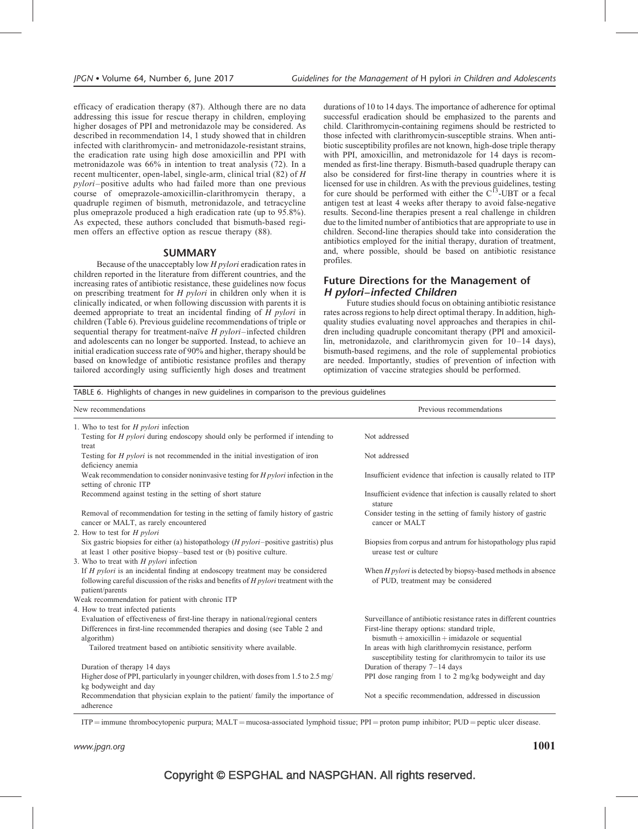efficacy of eradication therapy [\(87\).](#page-12-0) Although there are no data addressing this issue for rescue therapy in children, employing higher dosages of PPI and metronidazole may be considered. As described in recommendation 14, 1 study showed that in children infected with clarithromycin- and metronidazole-resistant strains, the eradication rate using high dose amoxicillin and PPI with metronidazole was 66% in intention to treat analysis [\(72\).](#page-12-0) In a recent multicenter, open-label, single-arm, clinical trial [\(82\)](#page-12-0) of H pylori–positive adults who had failed more than one previous course of omeprazole-amoxicillin-clarithromycin therapy, a quadruple regimen of bismuth, metronidazole, and tetracycline plus omeprazole produced a high eradication rate (up to 95.8%). As expected, these authors concluded that bismuth-based regimen offers an effective option as rescue therapy [\(88\)](#page-12-0).

# SUMMARY

Because of the unacceptably low  $H$  pylori eradication rates in children reported in the literature from different countries, and the increasing rates of antibiotic resistance, these guidelines now focus on prescribing treatment for H pylori in children only when it is clinically indicated, or when following discussion with parents it is deemed appropriate to treat an incidental finding of H pylori in children (Table 6). Previous guideline recommendations of triple or sequential therapy for treatment-naïve  $H$  pylori–infected children and adolescents can no longer be supported. Instead, to achieve an initial eradication success rate of 90% and higher, therapy should be based on knowledge of antibiotic resistance profiles and therapy tailored accordingly using sufficiently high doses and treatment durations of 10 to 14 days. The importance of adherence for optimal successful eradication should be emphasized to the parents and child. Clarithromycin-containing regimens should be restricted to those infected with clarithromycin-susceptible strains. When antibiotic susceptibility profiles are not known, high-dose triple therapy with PPI, amoxicillin, and metronidazole for 14 days is recommended as first-line therapy. Bismuth-based quadruple therapy can also be considered for first-line therapy in countries where it is licensed for use in children. As with the previous guidelines, testing for cure should be performed with either the  $C^{13}$ -UBT or a fecal antigen test at least 4 weeks after therapy to avoid false-negative results. Second-line therapies present a real challenge in children due to the limited number of antibiotics that are appropriate to use in children. Second-line therapies should take into consideration the antibiotics employed for the initial therapy, duration of treatment, and, where possible, should be based on antibiotic resistance profiles.

# Future Directions for the Management of H pylori–infected Children

Future studies should focus on obtaining antibiotic resistance rates across regions to help direct optimal therapy. In addition, highquality studies evaluating novel approaches and therapies in children including quadruple concomitant therapy (PPI and amoxicillin, metronidazole, and clarithromycin given for 10–14 days), bismuth-based regimens, and the role of supplemental probiotics are needed. Importantly, studies of prevention of infection with optimization of vaccine strategies should be performed.

TABLE 6. Highlights of changes in new guidelines in comparison to the previous guidelines

| New recommendations                                                                                                                                                                                | Previous recommendations                                                                                             |
|----------------------------------------------------------------------------------------------------------------------------------------------------------------------------------------------------|----------------------------------------------------------------------------------------------------------------------|
| 1. Who to test for $H$ pylori infection                                                                                                                                                            |                                                                                                                      |
| Testing for H pylori during endoscopy should only be performed if intending to<br>treat                                                                                                            | Not addressed                                                                                                        |
| Testing for <i>H pylori</i> is not recommended in the initial investigation of iron<br>deficiency anemia                                                                                           | Not addressed                                                                                                        |
| Weak recommendation to consider noninvasive testing for $H$ <i>pylori</i> infection in the<br>setting of chronic ITP                                                                               | Insufficient evidence that infection is causally related to ITP                                                      |
| Recommend against testing in the setting of short stature                                                                                                                                          | Insufficient evidence that infection is causally related to short<br>stature                                         |
| Removal of recommendation for testing in the setting of family history of gastric<br>cancer or MALT, as rarely encountered                                                                         | Consider testing in the setting of family history of gastric<br>cancer or MALT                                       |
| 2. How to test for $H$ pylori                                                                                                                                                                      |                                                                                                                      |
| Six gastric biopsies for either (a) histopathology ( $H$ pylori-positive gastritis) plus<br>at least 1 other positive biopsy-based test or (b) positive culture.                                   | Biopsies from corpus and antrum for histopathology plus rapid<br>urease test or culture                              |
| 3. Who to treat with $H$ <i>pylori</i> infection                                                                                                                                                   |                                                                                                                      |
| If <i>H</i> pylori is an incidental finding at endoscopy treatment may be considered<br>following careful discussion of the risks and benefits of $H$ pylori treatment with the<br>patient/parents | When $H$ pylori is detected by biopsy-based methods in absence<br>of PUD, treatment may be considered                |
| Weak recommendation for patient with chronic ITP                                                                                                                                                   |                                                                                                                      |
| 4. How to treat infected patients                                                                                                                                                                  |                                                                                                                      |
| Evaluation of effectiveness of first-line therapy in national/regional centers                                                                                                                     | Surveillance of antibiotic resistance rates in different countries                                                   |
| Differences in first-line recommended therapies and dosing (see Table 2 and<br>algorithm)                                                                                                          | First-line therapy options: standard triple,<br>$bismuth + amoxicillin + imidazole or sequential$                    |
| Tailored treatment based on antibiotic sensitivity where available.                                                                                                                                | In areas with high clarithromycin resistance, perform<br>susceptibility testing for clarithromycin to tailor its use |
| Duration of therapy 14 days                                                                                                                                                                        | Duration of therapy $7-14$ days                                                                                      |
| Higher dose of PPI, particularly in younger children, with doses from 1.5 to 2.5 mg/<br>kg bodyweight and day                                                                                      | PPI dose ranging from 1 to 2 mg/kg bodyweight and day                                                                |
| Recommendation that physician explain to the patient/ family the importance of<br>adherence                                                                                                        | Not a specific recommendation, addressed in discussion                                                               |

 $ITP =$  immune thrombocytopenic purpura; MALT = mucosa-associated lymphoid tissue; PPI = proton pump inhibitor; PUD = peptic ulcer disease.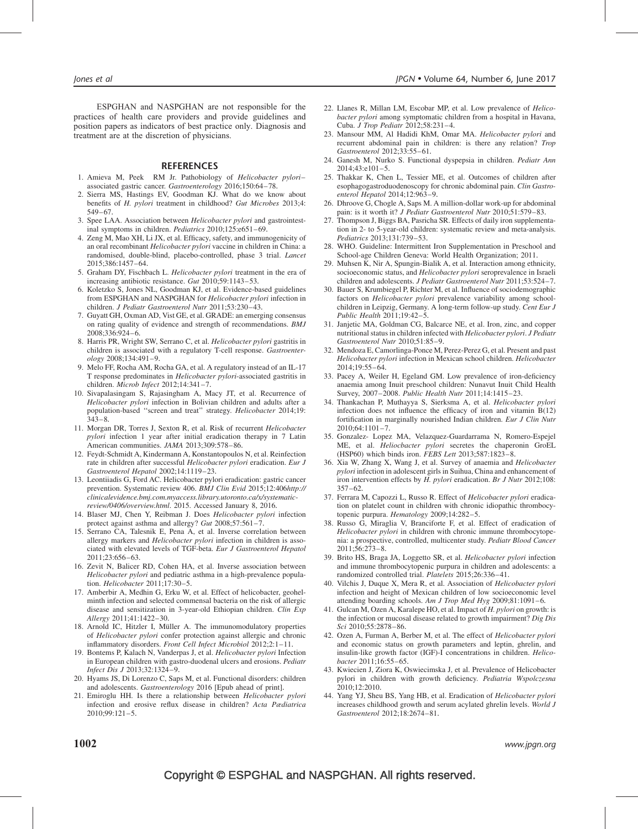<span id="page-11-0"></span>ESPGHAN and NASPGHAN are not responsible for the practices of health care providers and provide guidelines and position papers as indicators of best practice only. Diagnosis and treatment are at the discretion of physicians.

#### REFERENCES

- 1. Amieva M, Peek RM Jr. Pathobiology of Helicobacter pylori– associated gastric cancer. Gastroenterology 2016;150:64–78.
- 2. Sierra MS, Hastings EV, Goodman KJ. What do we know about benefits of H. pylori treatment in childhood? Gut Microbes 2013;4: 549–67.
- 3. Spee LAA. Association between Helicobacter pylori and gastrointestinal symptoms in children. Pediatrics 2010;125:e651–69.
- 4. Zeng M, Mao XH, Li JX, et al. Efficacy, safety, and immunogenicity of an oral recombinant Helicobacter pylori vaccine in children in China: a randomised, double-blind, placebo-controlled, phase 3 trial. Lancet 2015;386:1457–64.
- 5. Graham DY, Fischbach L. Helicobacter pylori treatment in the era of increasing antibiotic resistance. Gut 2010;59:1143–53.
- 6. Koletzko S, Jones NL, Goodman KJ, et al. Evidence-based guidelines from ESPGHAN and NASPGHAN for Helicobacter pylori infection in children. J Pediatr Gastroenterol Nutr 2011;53:230–43.
- 7. Guyatt GH, Oxman AD, Vist GE, et al. GRADE: an emerging consensus on rating quality of evidence and strength of recommendations. BMJ 2008;336:924–6.
- 8. Harris PR, Wright SW, Serrano C, et al. Helicobacter pylori gastritis in children is associated with a regulatory T-cell response. Gastroenter- $\omega$ <sub>0</sub> $\omega$  2008;134:491-9.
- 9. Melo FF, Rocha AM, Rocha GA, et al. A regulatory instead of an IL-17 T response predominates in Helicobacter pylori-associated gastritis in children. Microb Infect 2012;14:341–7.
- 10. Sivapalasingam S, Rajasingham A, Macy JT, et al. Recurrence of Helicobacter pylori infection in Bolivian children and adults after a population-based "screen and treat" strategy. Helicobacter 2014;19: 343–8.
- 11. Morgan DR, Torres J, Sexton R, et al. Risk of recurrent Helicobacter pylori infection 1 year after initial eradication therapy in 7 Latin American communities. JAMA 2013;309:578–86.
- 12. Feydt-Schmidt A, Kindermann A, Konstantopoulos N, et al. Reinfection rate in children after successful Helicobacter pylori eradication. Eur J Gastroenterol Hepatol 2002;14:1119–23.
- 13. Leontiiadis G, Ford AC. Helicobacter pylori eradication: gastric cancer prevention. Systematic review 406. BMJ Clin Evid 2015;12:406[http://](http://clinicalevidence.bmj.com.myaccess.library.utoronto.ca/x/systematic-review/0406/overview.html) [clinicalevidence.bmj.com.myaccess.library.utoronto.ca/x/systematic](http://clinicalevidence.bmj.com.myaccess.library.utoronto.ca/x/systematic-review/0406/overview.html)[review/0406/overview.html](http://clinicalevidence.bmj.com.myaccess.library.utoronto.ca/x/systematic-review/0406/overview.html). 2015. Accessed January 8, 2016.
- 14. Blaser MJ, Chen Y, Reibman J. Does Helicobacter pylori infection protect against asthma and allergy? Gut 2008;57:561-7.
- 15. Serrano CA, Talesnik E, Pena A, et al. Inverse correlation between allergy markers and Helicobacter pylori infection in children is associated with elevated levels of TGF-beta. Eur J Gastroenterol Hepatol 2011;23:656–63.
- 16. Zevit N, Balicer RD, Cohen HA, et al. Inverse association between Helicobacter pylori and pediatric asthma in a high-prevalence population. Helicobacter 2011;17:30–5.
- 17. Amberbir A, Medhin G, Erku W, et al. Effect of helicobacter, geohelminth infection and selected commensal bacteria on the risk of allergic disease and sensitization in 3-year-old Ethiopian children. Clin Exp Allergy 2011;41:1422–30.
- 18. Arnold IC, Hitzler I, Müller A. The immunomodulatory properties of Helicobacter pylori confer protection against allergic and chronic inflammatory disorders. Front Cell Infect Microbiol 2012;2:1–11.
- 19. Bontems P, Kalach N, Vanderpas J, et al. Helicobacter pylori Infection in European children with gastro-duodenal ulcers and erosions. Pediatr Infect Dis J 2013;32:1324–9.
- 20. Hyams JS, Di Lorenzo C, Saps M, et al. Functional disorders: children and adolescents. Gastroenterology 2016 [Epub ahead of print].
- 21. Emiroglu HH. Is there a relationship between Helicobacter pylori infection and erosive reflux disease in children? Acta Pædiatrica 2010;99:121–5.
- 22. Llanes R, Millan LM, Escobar MP, et al. Low prevalence of Helicobacter pylori among symptomatic children from a hospital in Havana, Cuba. J Trop Pediatr 2012;58:231–4.
- 23. Mansour MM, Al Hadidi KhM, Omar MA. Helicobacter pylori and recurrent abdominal pain in children: is there any relation? Trop Gastroenterol 2012;33:55–61.
- 24. Ganesh M, Nurko S. Functional dyspepsia in children. Pediatr Ann 2014;43:e101–5.
- 25. Thakkar K, Chen L, Tessier ME, et al. Outcomes of children after esophagogastroduodenoscopy for chronic abdominal pain. Clin Gastroenterol Hepatol 2014;12:963–9.
- 26. Dhroove G, Chogle A, Saps M. A million-dollar work-up for abdominal pain: is it worth it? J Pediatr Gastroenterol Nutr 2010;51:579-83.
- 27. Thompson J, Biggs BA, Pasricha SR. Effects of daily iron supplementation in 2- to 5-year-old children: systematic review and meta-analysis. Pediatrics 2013;131:739–53.
- 28. WHO. Guideline: Intermittent Iron Supplementation in Preschool and School-age Children Geneva: World Health Organization; 2011.
- 29. Muhsen K, Nir A, Spungin-Bialik A, et al. Interaction among ethnicity, socioeconomic status, and Helicobacter pylori seroprevalence in Israeli children and adolescents. J Pediatr Gastroenterol Nutr 2011;53:524–7.
- 30. Bauer S, Krumbiegel P, Richter M, et al. Influence of sociodemographic factors on Helicobacter pylori prevalence variability among schoolchildren in Leipzig, Germany. A long-term follow-up study. Cent Eur J Public Health 2011;19:42–5.
- 31. Janjetic MA, Goldman CG, Balcarce NE, et al. Iron, zinc, and copper nutritional status in children infected with Helicobacter pylori. J Pediatr Gastroenterol Nutr 2010;51:85–9.
- 32. Mendoza E, Camorlinga-Ponce M, Perez-Perez G, et al. Present and past Helicobacter pylori infection in Mexican school children. Helicobacter 2014;19:55–64.
- 33. Pacey A, Weiler H, Egeland GM. Low prevalence of iron-deficiency anaemia among Inuit preschool children: Nunavut Inuit Child Health Survey, 2007–2008. Public Health Nutr 2011;14:1415–23.
- 34. Thankachan P, Muthayya S, Sierksma A, et al. Helicobacter pylori infection does not influence the efficacy of iron and vitamin B(12) fortification in marginally nourished Indian children. Eur J Clin Nutr 2010;64:1101–7.
- 35. Gonzalez- Lopez MA, Velazquez-Guardarrama N, Romero-Espejel ME, et al. Heliocbacter pylori secretes the chaperonin GroEL (HSP60) which binds iron. FEBS Lett 2013;587:1823–8.
- 36. Xia W, Zhang X, Wang J, et al. Survey of anaemia and Helicobacter pylori infection in adolescent girls in Suihua, China and enhancement of iron intervention effects by H. pylori eradication. Br J Nutr 2012;108: 357–62.
- 37. Ferrara M, Capozzi L, Russo R. Effect of Helicobacter pylori eradication on platelet count in children with chronic idiopathic thrombocytopenic purpura. Hematology 2009;14:282–5.
- 38. Russo G, Miraglia V, Branciforte F, et al. Effect of eradication of Helicobacter pylori in children with chronic immune thrombocytopenia: a prospective, controlled, multicenter study. Pediatr Blood Cancer 2011;56:273–8.
- 39. Brito HS, Braga JA, Loggetto SR, et al. Helicobacter pylori infection and immune thrombocytopenic purpura in children and adolescents: a randomized controlled trial. Platelets 2015;26:336–41.
- 40. Vilchis J, Duque X, Mera R, et al. Association of Helicobacter pylori infection and height of Mexican children of low socioeconomic level attending boarding schools. Am J Trop Med Hyg 2009;81:1091–6.
- 41. Gulcan M, Ozen A, Karalepe HO, et al. Impact of H. pylori on growth: is the infection or mucosal disease related to growth impairment? Dig Dis Sci 2010;55:2878–86.
- 42. Ozen A, Furman A, Berber M, et al. The effect of Helicobacter pylori and economic status on growth parameters and leptin, ghrelin, and insulin-like growth factor (IGF)-I concentrations in children. Helicobacter 2011;16:55–65.
- 43. Kwiecien J, Ziora K, Oswiecimska J, et al. Prevalence of Helicobacter pylori in children with growth deficiency. Pediatria Wspolczesna 2010;12:2010.
- 44. Yang YJ, Sheu BS, Yang HB, et al. Eradication of Helicobacter pylori increases childhood growth and serum acylated ghrelin levels. World J Gastroenterol 2012;18:2674–81.

# $\bf 1002$  www.jpgn.org